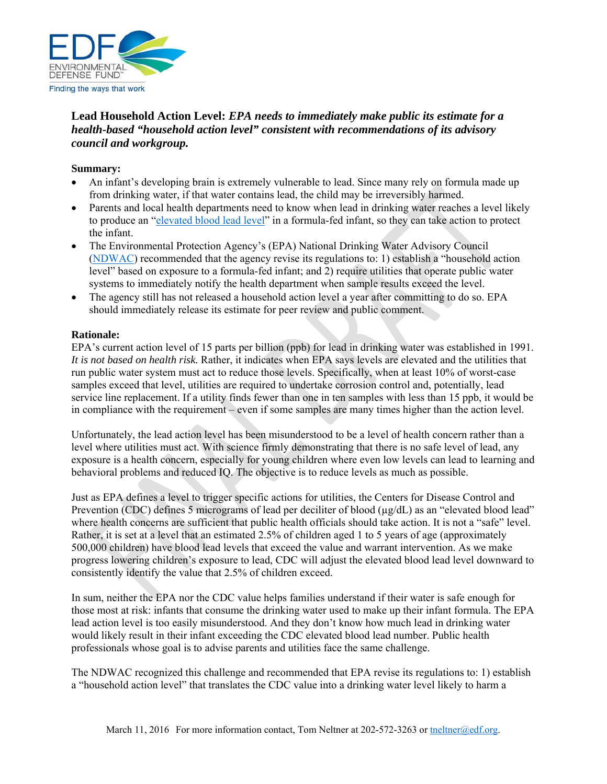

# **Lead Household Action Level:** *EPA needs to immediately make public its estimate for a health-based "household action level" consistent with recommendations of its advisory council and workgroup.*

### **Summary:**

- An infant's developing brain is extremely vulnerable to lead. Since many rely on formula made up from drinking water, if that water contains lead, the child may be irreversibly harmed.
- Parents and local health departments need to know when lead in drinking water reaches a level likely to produce an "elevated blood lead level" in a formula-fed infant, so they can take action to protect the infant.
- The Environmental Protection Agency's (EPA) National Drinking Water Advisory Council (NDWAC) recommended that the agency revise its regulations to: 1) establish a "household action level" based on exposure to a formula-fed infant; and 2) require utilities that operate public water systems to immediately notify the health department when sample results exceed the level.
- The agency still has not released a household action level a year after committing to do so. EPA should immediately release its estimate for peer review and public comment.

#### **Rationale:**

EPA's current action level of 15 parts per billion (ppb) for lead in drinking water was established in 1991. *It is not based on health risk.* Rather, it indicates when EPA says levels are elevated and the utilities that run public water system must act to reduce those levels. Specifically, when at least 10% of worst-case samples exceed that level, utilities are required to undertake corrosion control and, potentially, lead service line replacement. If a utility finds fewer than one in ten samples with less than 15 ppb, it would be in compliance with the requirement – even if some samples are many times higher than the action level.

Unfortunately, the lead action level has been misunderstood to be a level of health concern rather than a level where utilities must act. With science firmly demonstrating that there is no safe level of lead, any exposure is a health concern, especially for young children where even low levels can lead to learning and behavioral problems and reduced IQ. The objective is to reduce levels as much as possible.

Just as EPA defines a level to trigger specific actions for utilities, the Centers for Disease Control and Prevention (CDC) defines 5 micrograms of lead per deciliter of blood (µg/dL) as an "elevated blood lead" where health concerns are sufficient that public health officials should take action. It is not a "safe" level. Rather, it is set at a level that an estimated 2.5% of children aged 1 to 5 years of age (approximately 500,000 children) have blood lead levels that exceed the value and warrant intervention. As we make progress lowering children's exposure to lead, CDC will adjust the elevated blood lead level downward to consistently identify the value that 2.5% of children exceed.

In sum, neither the EPA nor the CDC value helps families understand if their water is safe enough for those most at risk: infants that consume the drinking water used to make up their infant formula. The EPA lead action level is too easily misunderstood. And they don't know how much lead in drinking water would likely result in their infant exceeding the CDC elevated blood lead number. Public health professionals whose goal is to advise parents and utilities face the same challenge.

The NDWAC recognized this challenge and recommended that EPA revise its regulations to: 1) establish a "household action level" that translates the CDC value into a drinking water level likely to harm a